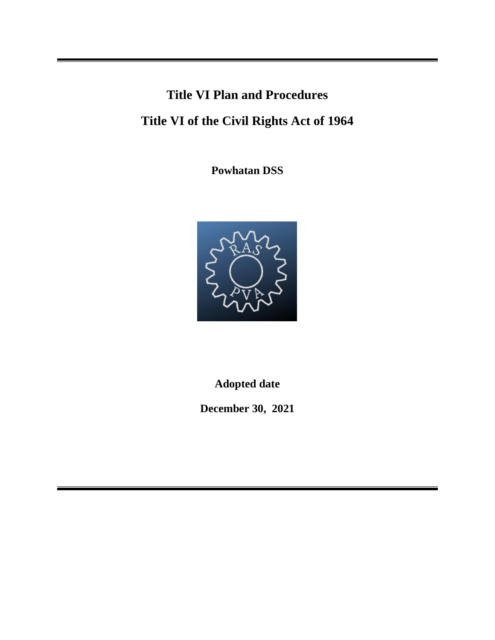# **Title VI Plan and Procedures**

# **Title VI of the Civil Rights Act of 1964**

**Powhatan DSS**



**Adopted date**

**December 30, 2021**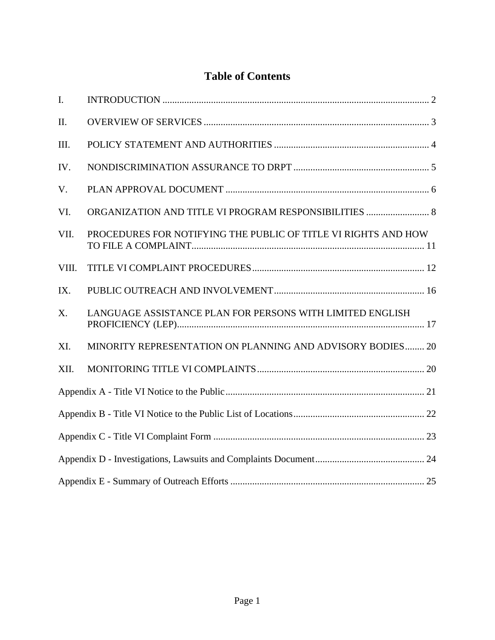## **Table of Contents**

| I.          |                                                                |  |  |  |
|-------------|----------------------------------------------------------------|--|--|--|
| Π.          |                                                                |  |  |  |
| III.        |                                                                |  |  |  |
| IV.         |                                                                |  |  |  |
| V.          |                                                                |  |  |  |
| VI.         | ORGANIZATION AND TITLE VI PROGRAM RESPONSIBILITIES  8          |  |  |  |
| VII.        | PROCEDURES FOR NOTIFYING THE PUBLIC OF TITLE VI RIGHTS AND HOW |  |  |  |
| VIII.       |                                                                |  |  |  |
| IX.         |                                                                |  |  |  |
| $X_{\cdot}$ | LANGUAGE ASSISTANCE PLAN FOR PERSONS WITH LIMITED ENGLISH      |  |  |  |
| XI.         | MINORITY REPRESENTATION ON PLANNING AND ADVISORY BODIES 20     |  |  |  |
| XII.        |                                                                |  |  |  |
|             |                                                                |  |  |  |
|             |                                                                |  |  |  |
|             |                                                                |  |  |  |
|             |                                                                |  |  |  |
|             |                                                                |  |  |  |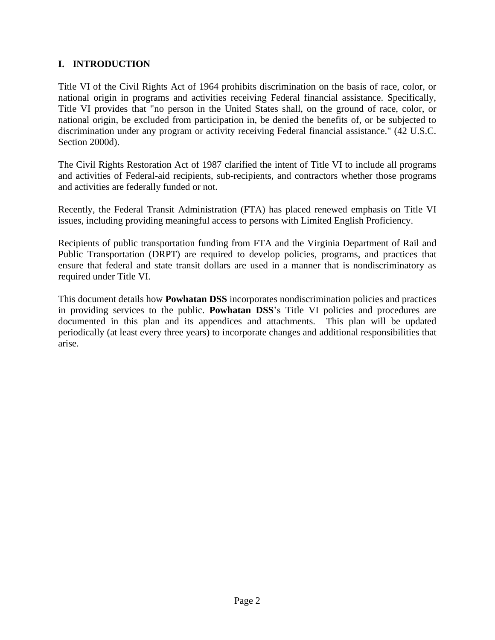#### <span id="page-2-0"></span>**I. INTRODUCTION**

Title VI of the Civil Rights Act of 1964 prohibits discrimination on the basis of race, color, or national origin in programs and activities receiving Federal financial assistance. Specifically, Title VI provides that "no person in the United States shall, on the ground of race, color, or national origin, be excluded from participation in, be denied the benefits of, or be subjected to discrimination under any program or activity receiving Federal financial assistance." (42 U.S.C. Section 2000d).

The Civil Rights Restoration Act of 1987 clarified the intent of Title VI to include all programs and activities of Federal-aid recipients, sub-recipients, and contractors whether those programs and activities are federally funded or not.

Recently, the Federal Transit Administration (FTA) has placed renewed emphasis on Title VI issues, including providing meaningful access to persons with Limited English Proficiency.

Recipients of public transportation funding from FTA and the Virginia Department of Rail and Public Transportation (DRPT) are required to develop policies, programs, and practices that ensure that federal and state transit dollars are used in a manner that is nondiscriminatory as required under Title VI.

This document details how **Powhatan DSS** incorporates nondiscrimination policies and practices in providing services to the public. **Powhatan DSS**'s Title VI policies and procedures are documented in this plan and its appendices and attachments. This plan will be updated periodically (at least every three years) to incorporate changes and additional responsibilities that arise.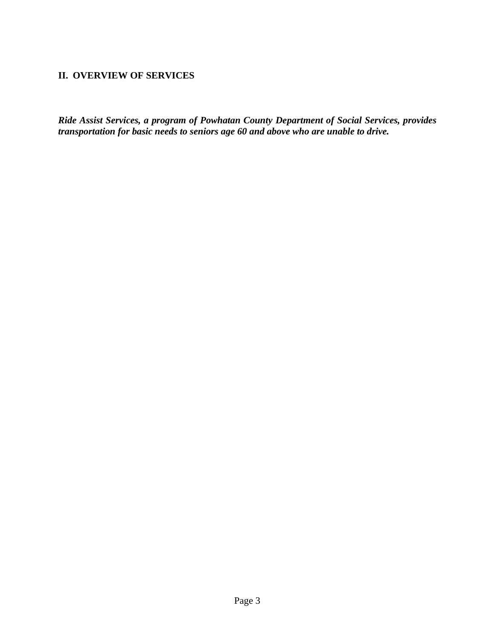#### <span id="page-3-0"></span>**II. OVERVIEW OF SERVICES**

*Ride Assist Services, a program of Powhatan County Department of Social Services, provides transportation for basic needs to seniors age 60 and above who are unable to drive.*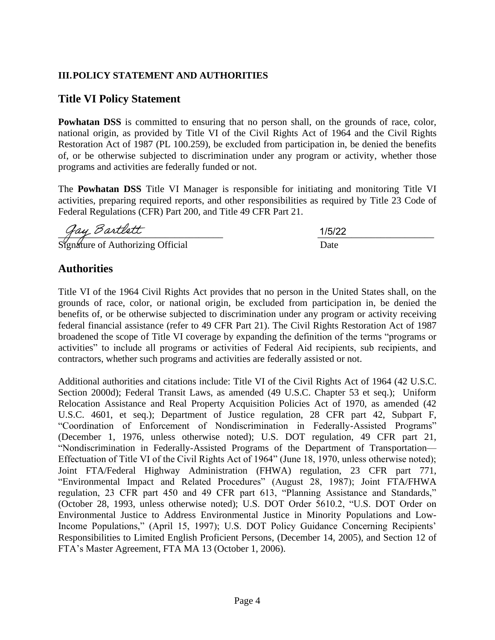## <span id="page-4-0"></span>**III.POLICY STATEMENT AND AUTHORITIES**

## **Title VI Policy Statement**

**Powhatan DSS** is committed to ensuring that no person shall, on the grounds of race, color, national origin, as provided by Title VI of the Civil Rights Act of 1964 and the Civil Rights Restoration Act of 1987 (PL 100.259), be excluded from participation in, be denied the benefits of, or be otherwise subjected to discrimination under any program or activity, whether those programs and activities are federally funded or not.

The **Powhatan DSS** Title VI Manager is responsible for initiating and monitoring Title VI activities, preparing required reports, and other responsibilities as required by Title 23 Code of Federal Regulations (CFR) Part 200, and Title 49 CFR Part 21.

 $\frac{1}{5}$   $\frac{1}{5}$   $\frac{1}{2}$   $\frac{1}{5}$   $\frac{1}{2}$   $\frac{1}{5}$   $\frac{1}{2}$   $\frac{1}{5}$   $\frac{1}{2}$   $\frac{1}{5}$   $\frac{1}{2}$   $\frac{1}{5}$   $\frac{1}{2}$   $\frac{1}{5}$   $\frac{1}{2}$   $\frac{1}{5}$   $\frac{1}{2}$   $\frac{1}{5}$   $\frac{1}{2}$   $\frac{1}{5}$   $\frac{1}{5}$   $\frac{1}{5}$  1/5/22

Signature of Authorizing Official Date

## **Authorities**

Title VI of the 1964 Civil Rights Act provides that no person in the United States shall, on the grounds of race, color, or national origin, be excluded from participation in, be denied the benefits of, or be otherwise subjected to discrimination under any program or activity receiving federal financial assistance (refer to 49 CFR Part 21). The Civil Rights Restoration Act of 1987 broadened the scope of Title VI coverage by expanding the definition of the terms "programs or activities" to include all programs or activities of Federal Aid recipients, sub recipients, and contractors, whether such programs and activities are federally assisted or not.

Additional authorities and citations include: Title VI of the Civil Rights Act of 1964 (42 U.S.C. Section 2000d); Federal Transit Laws, as amended (49 U.S.C. Chapter 53 et seq.); Uniform Relocation Assistance and Real Property Acquisition Policies Act of 1970, as amended (42 U.S.C. 4601, et seq.); Department of Justice regulation, 28 CFR part 42, Subpart F, "Coordination of Enforcement of Nondiscrimination in Federally-Assisted Programs" (December 1, 1976, unless otherwise noted); U.S. DOT regulation, 49 CFR part 21, "Nondiscrimination in Federally-Assisted Programs of the Department of Transportation— Effectuation of Title VI of the Civil Rights Act of 1964" (June 18, 1970, unless otherwise noted); Joint FTA/Federal Highway Administration (FHWA) regulation, 23 CFR part 771, "Environmental Impact and Related Procedures" (August 28, 1987); Joint FTA/FHWA regulation, 23 CFR part 450 and 49 CFR part 613, "Planning Assistance and Standards," (October 28, 1993, unless otherwise noted); U.S. DOT Order 5610.2, "U.S. DOT Order on Environmental Justice to Address Environmental Justice in Minority Populations and Low-Income Populations," (April 15, 1997); U.S. DOT Policy Guidance Concerning Recipients' Responsibilities to Limited English Proficient Persons, (December 14, 2005), and Section 12 of FTA's Master Agreement, FTA MA 13 (October 1, 2006).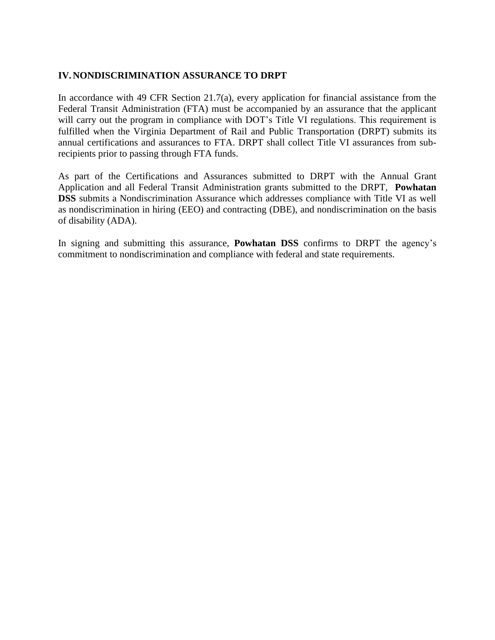#### <span id="page-5-0"></span>**IV.NONDISCRIMINATION ASSURANCE TO DRPT**

In accordance with 49 CFR Section 21.7(a), every application for financial assistance from the Federal Transit Administration (FTA) must be accompanied by an assurance that the applicant will carry out the program in compliance with DOT's Title VI regulations. This requirement is fulfilled when the Virginia Department of Rail and Public Transportation (DRPT) submits its annual certifications and assurances to FTA. DRPT shall collect Title VI assurances from subrecipients prior to passing through FTA funds.

As part of the Certifications and Assurances submitted to DRPT with the Annual Grant Application and all Federal Transit Administration grants submitted to the DRPT, **Powhatan DSS** submits a Nondiscrimination Assurance which addresses compliance with Title VI as well as nondiscrimination in hiring (EEO) and contracting (DBE), and nondiscrimination on the basis of disability (ADA).

In signing and submitting this assurance, **Powhatan DSS** confirms to DRPT the agency's commitment to nondiscrimination and compliance with federal and state requirements.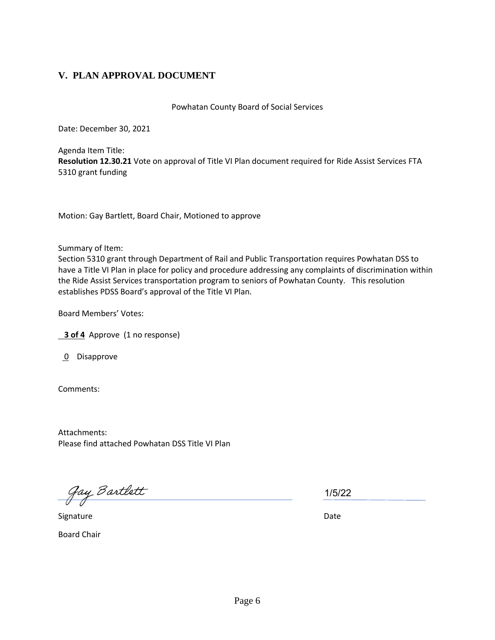## <span id="page-6-0"></span>**V. PLAN APPROVAL DOCUMENT**

Powhatan County Board of Social Services

Date: December 30, 2021

Agenda Item Title: **Resolution 12.30.21** Vote on approval of Title VI Plan document required for Ride Assist Services FTA 5310 grant funding

Motion: Gay Bartlett, Board Chair, Motioned to approve

Summary of Item:

Section 5310 grant through Department of Rail and Public Transportation requires Powhatan DSS to have a Title VI Plan in place for policy and procedure addressing any complaints of discrimination within the Ride Assist Services transportation program to seniors of Powhatan County. This resolution establishes PDSS Board's approval of the Title VI Plan.

Board Members' Votes:

**3 of 4** Approve (1 no response)

0 Disapprove

Comments:

Attachments: Please find attached Powhatan DSS Title VI Plan

gay Bartlett

Signature Date

Board Chair

1/5/22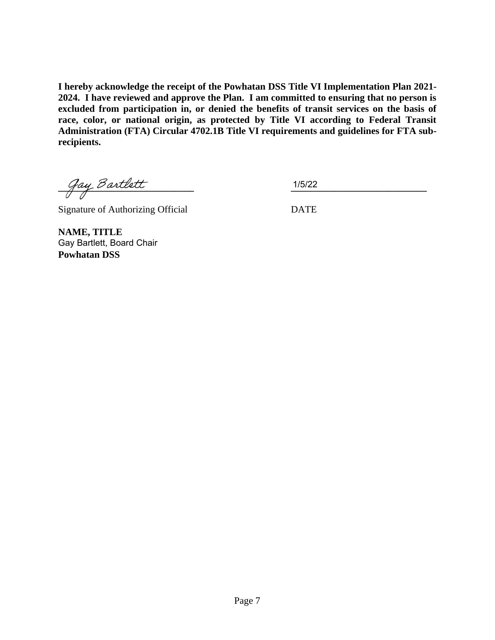**I hereby acknowledge the receipt of the Powhatan DSS Title VI Implementation Plan 2021- 2024. I have reviewed and approve the Plan. I am committed to ensuring that no person is excluded from participation in, or denied the benefits of transit services on the basis of race, color, or national origin, as protected by Title VI according to Federal Transit Administration (FTA) Circular 4702.1B Title VI requirements and guidelines for FTA subrecipients.**

**\_\_\_\_\_\_\_\_\_\_\_\_\_\_\_\_\_\_\_\_\_\_\_\_\_\_\_\_ \_\_\_\_\_\_\_\_\_\_\_\_\_\_\_\_\_\_\_\_\_\_\_\_\_\_\_\_**

1/5/22

Signature of Authorizing Official DATE

**NAME, TITLE Powhatan DSS** Gay Bartlett, Board Chair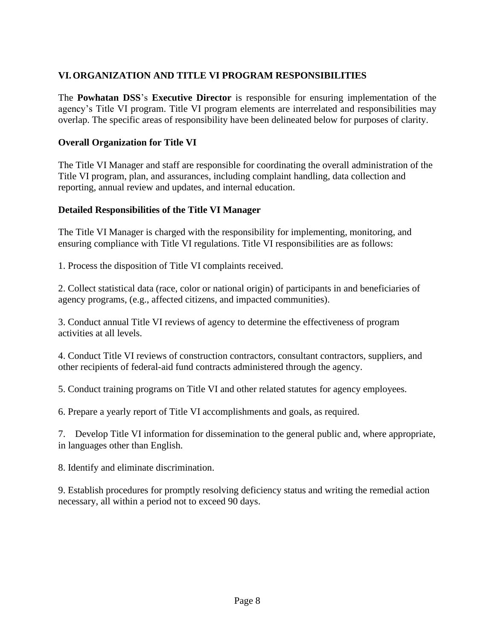## <span id="page-8-0"></span>**VI.ORGANIZATION AND TITLE VI PROGRAM RESPONSIBILITIES**

The **Powhatan DSS**'s **Executive Director** is responsible for ensuring implementation of the agency's Title VI program. Title VI program elements are interrelated and responsibilities may overlap. The specific areas of responsibility have been delineated below for purposes of clarity.

#### **Overall Organization for Title VI**

The Title VI Manager and staff are responsible for coordinating the overall administration of the Title VI program, plan, and assurances, including complaint handling, data collection and reporting, annual review and updates, and internal education.

#### **Detailed Responsibilities of the Title VI Manager**

The Title VI Manager is charged with the responsibility for implementing, monitoring, and ensuring compliance with Title VI regulations. Title VI responsibilities are as follows:

1. Process the disposition of Title VI complaints received.

2. Collect statistical data (race, color or national origin) of participants in and beneficiaries of agency programs, (e.g., affected citizens, and impacted communities).

3. Conduct annual Title VI reviews of agency to determine the effectiveness of program activities at all levels.

4. Conduct Title VI reviews of construction contractors, consultant contractors, suppliers, and other recipients of federal-aid fund contracts administered through the agency.

5. Conduct training programs on Title VI and other related statutes for agency employees.

6. Prepare a yearly report of Title VI accomplishments and goals, as required.

7. Develop Title VI information for dissemination to the general public and, where appropriate, in languages other than English.

8. Identify and eliminate discrimination.

9. Establish procedures for promptly resolving deficiency status and writing the remedial action necessary, all within a period not to exceed 90 days.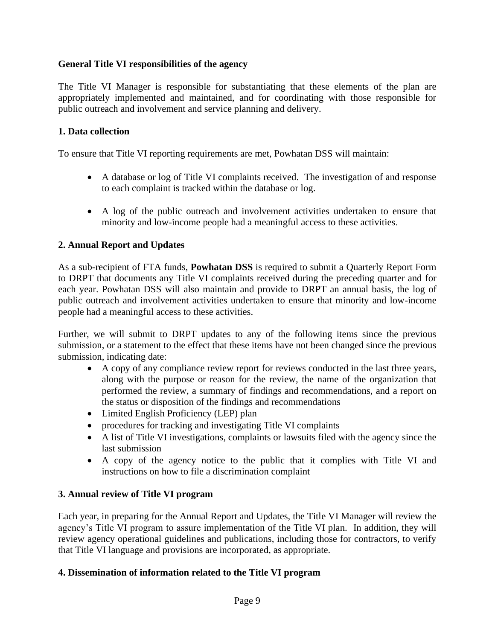#### **General Title VI responsibilities of the agency**

The Title VI Manager is responsible for substantiating that these elements of the plan are appropriately implemented and maintained, and for coordinating with those responsible for public outreach and involvement and service planning and delivery.

#### **1. Data collection**

To ensure that Title VI reporting requirements are met, Powhatan DSS will maintain:

- A database or log of Title VI complaints received. The investigation of and response to each complaint is tracked within the database or log.
- A log of the public outreach and involvement activities undertaken to ensure that minority and low-income people had a meaningful access to these activities.

#### **2. Annual Report and Updates**

As a sub-recipient of FTA funds, **Powhatan DSS** is required to submit a Quarterly Report Form to DRPT that documents any Title VI complaints received during the preceding quarter and for each year. Powhatan DSS will also maintain and provide to DRPT an annual basis, the log of public outreach and involvement activities undertaken to ensure that minority and low-income people had a meaningful access to these activities.

Further, we will submit to DRPT updates to any of the following items since the previous submission, or a statement to the effect that these items have not been changed since the previous submission, indicating date:

- A copy of any compliance review report for reviews conducted in the last three years, along with the purpose or reason for the review, the name of the organization that performed the review, a summary of findings and recommendations, and a report on the status or disposition of the findings and recommendations
- Limited English Proficiency (LEP) plan
- procedures for tracking and investigating Title VI complaints
- A list of Title VI investigations, complaints or lawsuits filed with the agency since the last submission
- A copy of the agency notice to the public that it complies with Title VI and instructions on how to file a discrimination complaint

#### **3. Annual review of Title VI program**

Each year, in preparing for the Annual Report and Updates, the Title VI Manager will review the agency's Title VI program to assure implementation of the Title VI plan. In addition, they will review agency operational guidelines and publications, including those for contractors, to verify that Title VI language and provisions are incorporated, as appropriate.

#### **4. Dissemination of information related to the Title VI program**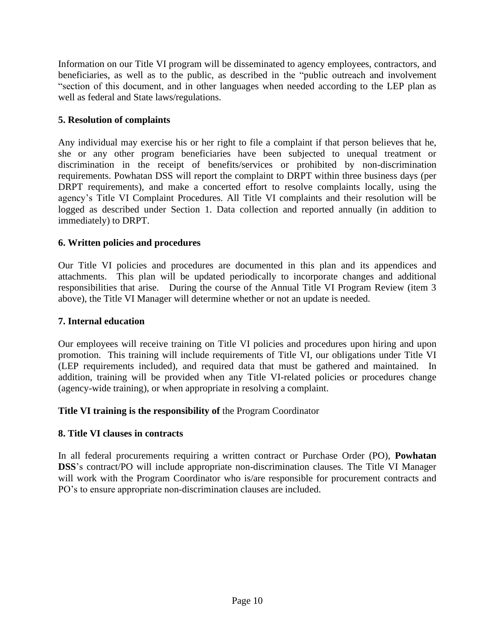Information on our Title VI program will be disseminated to agency employees, contractors, and beneficiaries, as well as to the public, as described in the "public outreach and involvement "section of this document, and in other languages when needed according to the LEP plan as well as federal and State laws/regulations.

## **5. Resolution of complaints**

Any individual may exercise his or her right to file a complaint if that person believes that he, she or any other program beneficiaries have been subjected to unequal treatment or discrimination in the receipt of benefits/services or prohibited by non-discrimination requirements. Powhatan DSS will report the complaint to DRPT within three business days (per DRPT requirements), and make a concerted effort to resolve complaints locally, using the agency's Title VI Complaint Procedures. All Title VI complaints and their resolution will be logged as described under Section 1. Data collection and reported annually (in addition to immediately) to DRPT.

## **6. Written policies and procedures**

Our Title VI policies and procedures are documented in this plan and its appendices and attachments. This plan will be updated periodically to incorporate changes and additional responsibilities that arise. During the course of the Annual Title VI Program Review (item 3 above), the Title VI Manager will determine whether or not an update is needed.

## **7. Internal education**

Our employees will receive training on Title VI policies and procedures upon hiring and upon promotion. This training will include requirements of Title VI, our obligations under Title VI (LEP requirements included), and required data that must be gathered and maintained. In addition, training will be provided when any Title VI-related policies or procedures change (agency-wide training), or when appropriate in resolving a complaint.

## **Title VI training is the responsibility of** the Program Coordinator

## **8. Title VI clauses in contracts**

In all federal procurements requiring a written contract or Purchase Order (PO), **Powhatan DSS**'s contract/PO will include appropriate non-discrimination clauses. The Title VI Manager will work with the Program Coordinator who is/are responsible for procurement contracts and PO's to ensure appropriate non-discrimination clauses are included.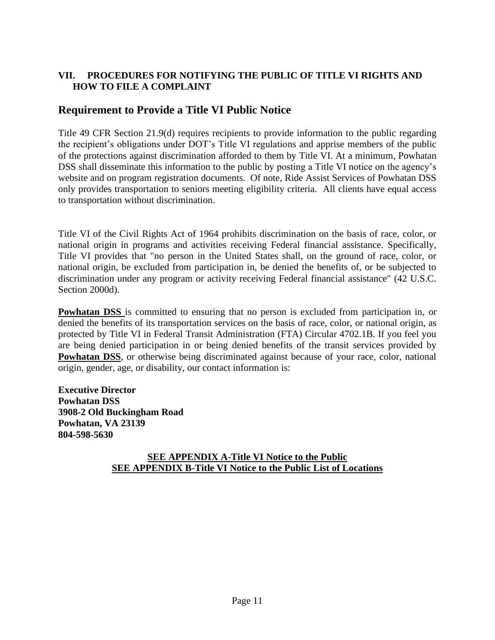## <span id="page-11-0"></span>**VII. PROCEDURES FOR NOTIFYING THE PUBLIC OF TITLE VI RIGHTS AND HOW TO FILE A COMPLAINT**

## **Requirement to Provide a Title VI Public Notice**

Title 49 CFR Section 21.9(d) requires recipients to provide information to the public regarding the recipient's obligations under DOT's Title VI regulations and apprise members of the public of the protections against discrimination afforded to them by Title VI. At a minimum, Powhatan DSS shall disseminate this information to the public by posting a Title VI notice on the agency's website and on program registration documents. Of note, Ride Assist Services of Powhatan DSS only provides transportation to seniors meeting eligibility criteria. All clients have equal access to transportation without discrimination.

Title VI of the Civil Rights Act of 1964 prohibits discrimination on the basis of race, color, or national origin in programs and activities receiving Federal financial assistance. Specifically, Title VI provides that "no person in the United States shall, on the ground of race, color, or national origin, be excluded from participation in, be denied the benefits of, or be subjected to discrimination under any program or activity receiving Federal financial assistance" (42 U.S.C. Section 2000d).

**Powhatan DSS** is committed to ensuring that no person is excluded from participation in, or denied the benefits of its transportation services on the basis of race, color, or national origin, as protected by Title VI in Federal Transit Administration (FTA) Circular 4702.1B. If you feel you are being denied participation in or being denied benefits of the transit services provided by **Powhatan DSS**, or otherwise being discriminated against because of your race, color, national origin, gender, age, or disability, our contact information is:

**Executive Director Powhatan DSS 3908-2 Old Buckingham Road Powhatan, VA 23139 804-598-5630**

#### **SEE APPENDIX A-Title VI Notice to the Public SEE APPENDIX B-Title VI Notice to the Public List of Locations**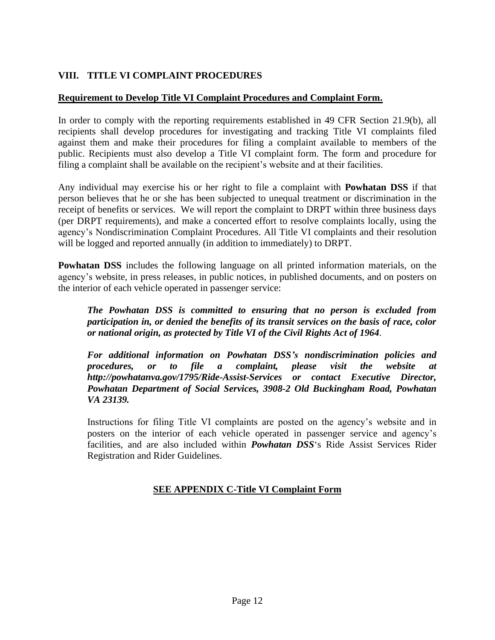## <span id="page-12-0"></span>**VIII. TITLE VI COMPLAINT PROCEDURES**

#### **Requirement to Develop Title VI Complaint Procedures and Complaint Form.**

In order to comply with the reporting requirements established in 49 CFR Section 21.9(b), all recipients shall develop procedures for investigating and tracking Title VI complaints filed against them and make their procedures for filing a complaint available to members of the public. Recipients must also develop a Title VI complaint form. The form and procedure for filing a complaint shall be available on the recipient's website and at their facilities.

Any individual may exercise his or her right to file a complaint with **Powhatan DSS** if that person believes that he or she has been subjected to unequal treatment or discrimination in the receipt of benefits or services. We will report the complaint to DRPT within three business days (per DRPT requirements), and make a concerted effort to resolve complaints locally, using the agency's Nondiscrimination Complaint Procedures. All Title VI complaints and their resolution will be logged and reported annually (in addition to immediately) to DRPT.

**Powhatan DSS** includes the following language on all printed information materials, on the agency's website, in press releases, in public notices, in published documents, and on posters on the interior of each vehicle operated in passenger service:

*The Powhatan DSS is committed to ensuring that no person is excluded from participation in, or denied the benefits of its transit services on the basis of race, color or national origin, as protected by Title VI of the Civil Rights Act of 1964*.

*For additional information on Powhatan DSS's nondiscrimination policies and procedures, or to file a complaint, please visit the website at http://powhatanva.gov/1795/Ride-Assist-Services or contact Executive Director, Powhatan Department of Social Services, 3908-2 Old Buckingham Road, Powhatan VA 23139.*

Instructions for filing Title VI complaints are posted on the agency's website and in posters on the interior of each vehicle operated in passenger service and agency's facilities, and are also included within *Powhatan DSS*'s Ride Assist Services Rider Registration and Rider Guidelines.

## **SEE APPENDIX C-Title VI Complaint Form**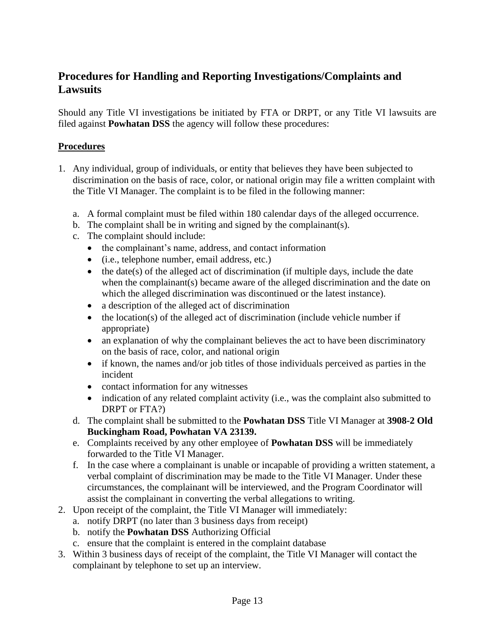## **Procedures for Handling and Reporting Investigations/Complaints and Lawsuits**

Should any Title VI investigations be initiated by FTA or DRPT, or any Title VI lawsuits are filed against **Powhatan DSS** the agency will follow these procedures:

#### **Procedures**

- 1. Any individual, group of individuals, or entity that believes they have been subjected to discrimination on the basis of race, color, or national origin may file a written complaint with the Title VI Manager. The complaint is to be filed in the following manner:
	- a. A formal complaint must be filed within 180 calendar days of the alleged occurrence.
	- b. The complaint shall be in writing and signed by the complainant(s).
	- c. The complaint should include:
		- the complainant's name, address, and contact information
		- (i.e., telephone number, email address, etc.)
		- $\bullet$  the date(s) of the alleged act of discrimination (if multiple days, include the date when the complainant(s) became aware of the alleged discrimination and the date on which the alleged discrimination was discontinued or the latest instance).
		- a description of the alleged act of discrimination
		- $\bullet$  the location(s) of the alleged act of discrimination (include vehicle number if appropriate)
		- an explanation of why the complainant believes the act to have been discriminatory on the basis of race, color, and national origin
		- if known, the names and/or job titles of those individuals perceived as parties in the incident
		- contact information for any witnesses
		- indication of any related complaint activity (i.e., was the complaint also submitted to DRPT or FTA?)
	- d. The complaint shall be submitted to the **Powhatan DSS** Title VI Manager at **3908-2 Old Buckingham Road, Powhatan VA 23139.**
	- e. Complaints received by any other employee of **Powhatan DSS** will be immediately forwarded to the Title VI Manager.
	- f. In the case where a complainant is unable or incapable of providing a written statement, a verbal complaint of discrimination may be made to the Title VI Manager. Under these circumstances, the complainant will be interviewed, and the Program Coordinator will assist the complainant in converting the verbal allegations to writing.
- 2. Upon receipt of the complaint, the Title VI Manager will immediately:
	- a. notify DRPT (no later than 3 business days from receipt)
	- b. notify the **Powhatan DSS** Authorizing Official
	- c. ensure that the complaint is entered in the complaint database
- 3. Within 3 business days of receipt of the complaint, the Title VI Manager will contact the complainant by telephone to set up an interview.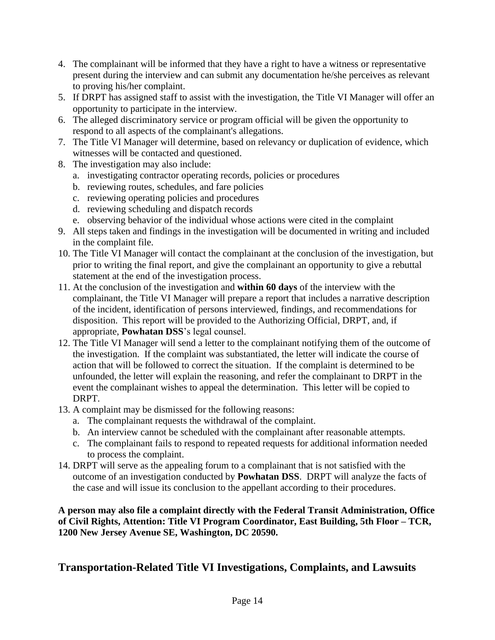- 4. The complainant will be informed that they have a right to have a witness or representative present during the interview and can submit any documentation he/she perceives as relevant to proving his/her complaint.
- 5. If DRPT has assigned staff to assist with the investigation, the Title VI Manager will offer an opportunity to participate in the interview.
- 6. The alleged discriminatory service or program official will be given the opportunity to respond to all aspects of the complainant's allegations.
- 7. The Title VI Manager will determine, based on relevancy or duplication of evidence, which witnesses will be contacted and questioned.
- 8. The investigation may also include:
	- a. investigating contractor operating records, policies or procedures
	- b. reviewing routes, schedules, and fare policies
	- c. reviewing operating policies and procedures
	- d. reviewing scheduling and dispatch records
	- e. observing behavior of the individual whose actions were cited in the complaint
- 9. All steps taken and findings in the investigation will be documented in writing and included in the complaint file.
- 10. The Title VI Manager will contact the complainant at the conclusion of the investigation, but prior to writing the final report, and give the complainant an opportunity to give a rebuttal statement at the end of the investigation process.
- 11. At the conclusion of the investigation and **within 60 days** of the interview with the complainant, the Title VI Manager will prepare a report that includes a narrative description of the incident, identification of persons interviewed, findings, and recommendations for disposition. This report will be provided to the Authorizing Official, DRPT, and, if appropriate, **Powhatan DSS**'s legal counsel.
- 12. The Title VI Manager will send a letter to the complainant notifying them of the outcome of the investigation. If the complaint was substantiated, the letter will indicate the course of action that will be followed to correct the situation. If the complaint is determined to be unfounded, the letter will explain the reasoning, and refer the complainant to DRPT in the event the complainant wishes to appeal the determination. This letter will be copied to DRPT.
- 13. A complaint may be dismissed for the following reasons:
	- a. The complainant requests the withdrawal of the complaint.
	- b. An interview cannot be scheduled with the complainant after reasonable attempts.
	- c. The complainant fails to respond to repeated requests for additional information needed to process the complaint.
- 14. DRPT will serve as the appealing forum to a complainant that is not satisfied with the outcome of an investigation conducted by **Powhatan DSS**. DRPT will analyze the facts of the case and will issue its conclusion to the appellant according to their procedures.

**A person may also file a complaint directly with the Federal Transit Administration, Office of Civil Rights, Attention: Title VI Program Coordinator, East Building, 5th Floor – TCR, 1200 New Jersey Avenue SE, Washington, DC 20590.**

## **Transportation-Related Title VI Investigations, Complaints, and Lawsuits**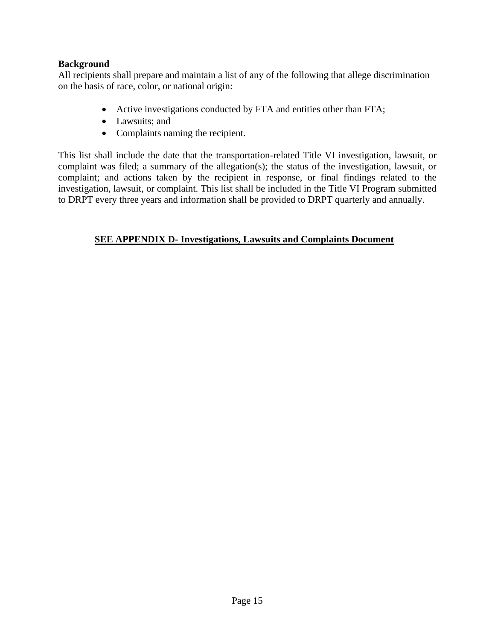#### **Background**

All recipients shall prepare and maintain a list of any of the following that allege discrimination on the basis of race, color, or national origin:

- Active investigations conducted by FTA and entities other than FTA;
- Lawsuits: and
- Complaints naming the recipient.

This list shall include the date that the transportation-related Title VI investigation, lawsuit, or complaint was filed; a summary of the allegation(s); the status of the investigation, lawsuit, or complaint; and actions taken by the recipient in response, or final findings related to the investigation, lawsuit, or complaint. This list shall be included in the Title VI Program submitted to DRPT every three years and information shall be provided to DRPT quarterly and annually.

#### **SEE APPENDIX D- Investigations, Lawsuits and Complaints Document**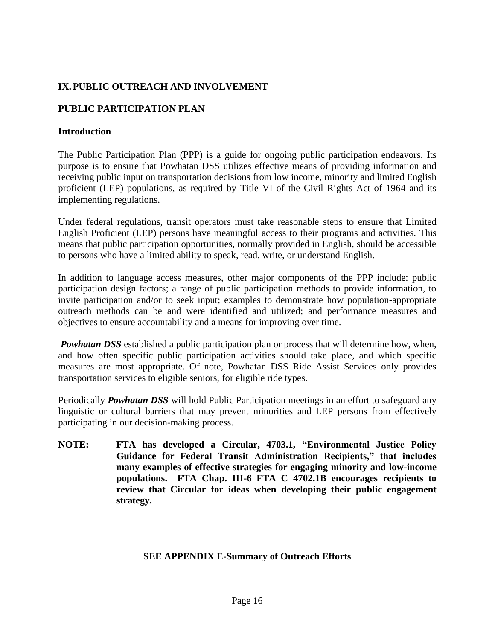#### <span id="page-16-0"></span>**IX.PUBLIC OUTREACH AND INVOLVEMENT**

#### **PUBLIC PARTICIPATION PLAN**

#### **Introduction**

The Public Participation Plan (PPP) is a guide for ongoing public participation endeavors. Its purpose is to ensure that Powhatan DSS utilizes effective means of providing information and receiving public input on transportation decisions from low income, minority and limited English proficient (LEP) populations, as required by Title VI of the Civil Rights Act of 1964 and its implementing regulations.

Under federal regulations, transit operators must take reasonable steps to ensure that Limited English Proficient (LEP) persons have meaningful access to their programs and activities. This means that public participation opportunities, normally provided in English, should be accessible to persons who have a limited ability to speak, read, write, or understand English.

In addition to language access measures, other major components of the PPP include: public participation design factors; a range of public participation methods to provide information, to invite participation and/or to seek input; examples to demonstrate how population-appropriate outreach methods can be and were identified and utilized; and performance measures and objectives to ensure accountability and a means for improving over time.

*Powhatan DSS* established a public participation plan or process that will determine how, when, and how often specific public participation activities should take place, and which specific measures are most appropriate. Of note, Powhatan DSS Ride Assist Services only provides transportation services to eligible seniors, for eligible ride types.

Periodically *Powhatan DSS* will hold Public Participation meetings in an effort to safeguard any linguistic or cultural barriers that may prevent minorities and LEP persons from effectively participating in our decision-making process.

**NOTE: FTA has developed a Circular, 4703.1, "Environmental Justice Policy Guidance for Federal Transit Administration Recipients," that includes many examples of effective strategies for engaging minority and low-income populations. FTA Chap. III-6 FTA C 4702.1B encourages recipients to review that Circular for ideas when developing their public engagement strategy.**

#### **SEE APPENDIX E-Summary of Outreach Efforts**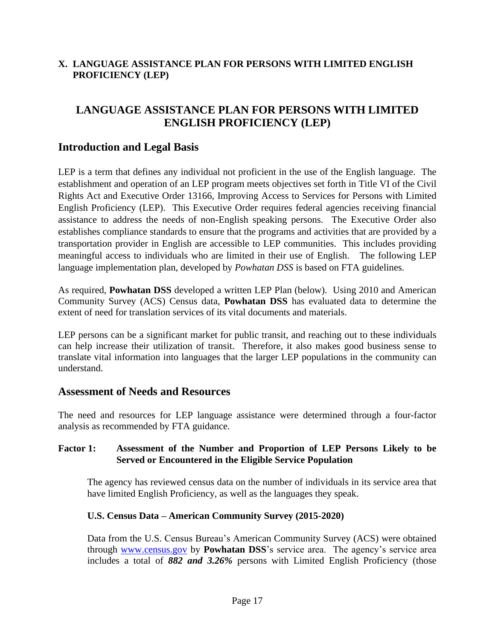#### <span id="page-17-0"></span>**X. LANGUAGE ASSISTANCE PLAN FOR PERSONS WITH LIMITED ENGLISH PROFICIENCY (LEP)**

## **LANGUAGE ASSISTANCE PLAN FOR PERSONS WITH LIMITED ENGLISH PROFICIENCY (LEP)**

## **Introduction and Legal Basis**

LEP is a term that defines any individual not proficient in the use of the English language. The establishment and operation of an LEP program meets objectives set forth in Title VI of the Civil Rights Act and Executive Order 13166, Improving Access to Services for Persons with Limited English Proficiency (LEP). This Executive Order requires federal agencies receiving financial assistance to address the needs of non-English speaking persons. The Executive Order also establishes compliance standards to ensure that the programs and activities that are provided by a transportation provider in English are accessible to LEP communities. This includes providing meaningful access to individuals who are limited in their use of English. The following LEP language implementation plan, developed by *Powhatan DSS* is based on FTA guidelines.

As required, **Powhatan DSS** developed a written LEP Plan (below). Using 2010 and American Community Survey (ACS) Census data, **Powhatan DSS** has evaluated data to determine the extent of need for translation services of its vital documents and materials.

LEP persons can be a significant market for public transit, and reaching out to these individuals can help increase their utilization of transit. Therefore, it also makes good business sense to translate vital information into languages that the larger LEP populations in the community can understand.

## **Assessment of Needs and Resources**

The need and resources for LEP language assistance were determined through a four-factor analysis as recommended by FTA guidance.

#### **Factor 1: Assessment of the Number and Proportion of LEP Persons Likely to be Served or Encountered in the Eligible Service Population**

The agency has reviewed census data on the number of individuals in its service area that have limited English Proficiency, as well as the languages they speak.

#### **U.S. Census Data – American Community Survey (2015-2020)**

Data from the U.S. Census Bureau's American Community Survey (ACS) were obtained through [www.census.gov](http://www.census.gov/) by **Powhatan DSS**'s service area. The agency's service area includes a total of *882 and 3.26%* persons with Limited English Proficiency (those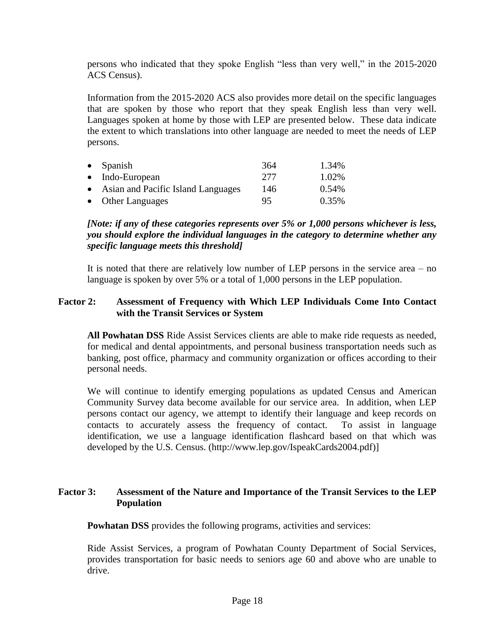persons who indicated that they spoke English "less than very well," in the 2015-2020 ACS Census).

Information from the 2015-2020 ACS also provides more detail on the specific languages that are spoken by those who report that they speak English less than very well. Languages spoken at home by those with LEP are presented below. These data indicate the extent to which translations into other language are needed to meet the needs of LEP persons.

| $\bullet$ Spanish                    | 364 | 1.34%    |
|--------------------------------------|-----|----------|
| $\bullet$ Indo-European              | 277 | 1.02%    |
| • Asian and Pacific Island Languages | 146 | $0.54\%$ |
| • Other Languages                    | 95  | 0.35%    |

#### *[Note: if any of these categories represents over 5% or 1,000 persons whichever is less, you should explore the individual languages in the category to determine whether any specific language meets this threshold]*

It is noted that there are relatively low number of LEP persons in the service area – no language is spoken by over 5% or a total of 1,000 persons in the LEP population.

#### **Factor 2: Assessment of Frequency with Which LEP Individuals Come Into Contact with the Transit Services or System**

**All Powhatan DSS** Ride Assist Services clients are able to make ride requests as needed, for medical and dental appointments, and personal business transportation needs such as banking, post office, pharmacy and community organization or offices according to their personal needs.

We will continue to identify emerging populations as updated Census and American Community Survey data become available for our service area. In addition, when LEP persons contact our agency, we attempt to identify their language and keep records on contacts to accurately assess the frequency of contact. To assist in language identification, we use a language identification flashcard based on that which was developed by the U.S. Census. [\(http://www.](http://www/)lep.gov/IspeakCards2004.pdf)]

#### **Factor 3: Assessment of the Nature and Importance of the Transit Services to the LEP Population**

**Powhatan DSS** provides the following programs, activities and services:

Ride Assist Services, a program of Powhatan County Department of Social Services, provides transportation for basic needs to seniors age 60 and above who are unable to drive.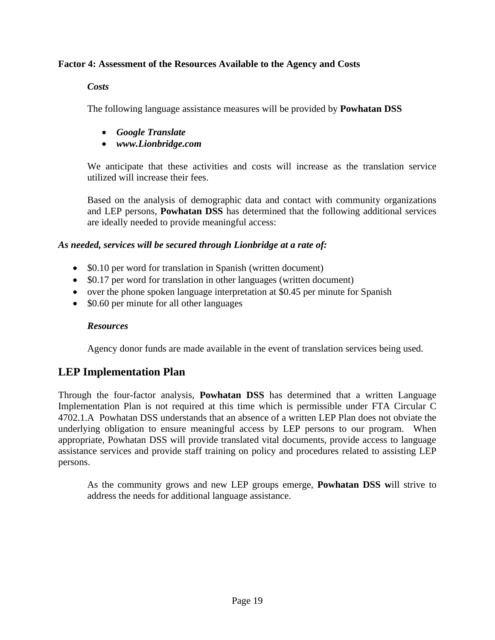#### **Factor 4: Assessment of the Resources Available to the Agency and Costs**

#### *Costs*

The following language assistance measures will be provided by **Powhatan DSS**

- *Google Translate*
- *www.Lionbridge.com*

We anticipate that these activities and costs will increase as the translation service utilized will increase their fees.

Based on the analysis of demographic data and contact with community organizations and LEP persons, **Powhatan DSS** has determined that the following additional services are ideally needed to provide meaningful access:

## *As needed, services will be secured through Lionbridge at a rate of:*

- \$0.10 per word for translation in Spanish (written document)
- \$0.17 per word for translation in other languages (written document)
- over the phone spoken language interpretation at \$0.45 per minute for Spanish
- \$0.60 per minute for all other languages

#### *Resources*

Agency donor funds are made available in the event of translation services being used.

## **LEP Implementation Plan**

Through the four-factor analysis, **Powhatan DSS** has determined that a written Language Implementation Plan is not required at this time which is permissible under FTA Circular C 4702.1.A Powhatan DSS understands that an absence of a written LEP Plan does not obviate the underlying obligation to ensure meaningful access by LEP persons to our program. When appropriate, Powhatan DSS will provide translated vital documents, provide access to language assistance services and provide staff training on policy and procedures related to assisting LEP persons.

As the community grows and new LEP groups emerge, **Powhatan DSS w**ill strive to address the needs for additional language assistance.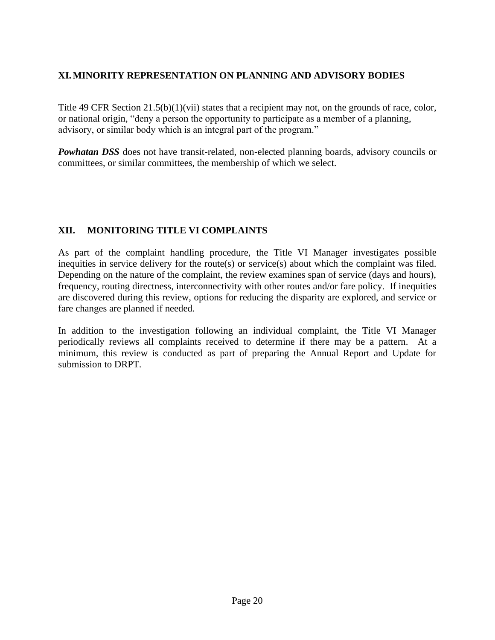#### <span id="page-20-0"></span>**XI.MINORITY REPRESENTATION ON PLANNING AND ADVISORY BODIES**

Title 49 CFR Section 21.5(b)(1)(vii) states that a recipient may not, on the grounds of race, color, or national origin, "deny a person the opportunity to participate as a member of a planning, advisory, or similar body which is an integral part of the program."

*Powhatan DSS* does not have transit-related, non-elected planning boards, advisory councils or committees, or similar committees, the membership of which we select.

#### <span id="page-20-1"></span>**XII. MONITORING TITLE VI COMPLAINTS**

As part of the complaint handling procedure, the Title VI Manager investigates possible inequities in service delivery for the route(s) or service(s) about which the complaint was filed. Depending on the nature of the complaint, the review examines span of service (days and hours), frequency, routing directness, interconnectivity with other routes and/or fare policy. If inequities are discovered during this review, options for reducing the disparity are explored, and service or fare changes are planned if needed.

In addition to the investigation following an individual complaint, the Title VI Manager periodically reviews all complaints received to determine if there may be a pattern. At a minimum, this review is conducted as part of preparing the Annual Report and Update for submission to DRPT.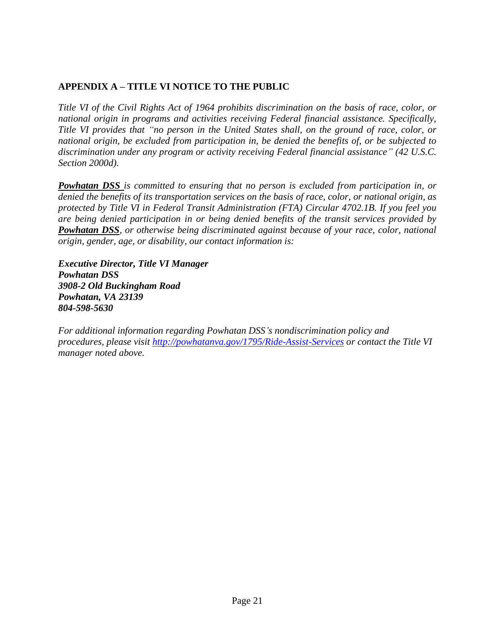## <span id="page-21-0"></span>**APPENDIX A – TITLE VI NOTICE TO THE PUBLIC**

*Title VI of the Civil Rights Act of 1964 prohibits discrimination on the basis of race, color, or national origin in programs and activities receiving Federal financial assistance. Specifically, Title VI provides that "no person in the United States shall, on the ground of race, color, or national origin, be excluded from participation in, be denied the benefits of, or be subjected to discrimination under any program or activity receiving Federal financial assistance" (42 U.S.C. Section 2000d).* 

*Powhatan DSS is committed to ensuring that no person is excluded from participation in, or denied the benefits of its transportation services on the basis of race, color, or national origin, as protected by Title VI in Federal Transit Administration (FTA) Circular 4702.1B. If you feel you are being denied participation in or being denied benefits of the transit services provided by Powhatan DSS, or otherwise being discriminated against because of your race, color, national origin, gender, age, or disability, our contact information is:* 

*Executive Director, Title VI Manager Powhatan DSS 3908-2 Old Buckingham Road Powhatan, VA 23139 804-598-5630*

<span id="page-21-1"></span>*For additional information regarding Powhatan DSS's nondiscrimination policy and procedures, please visit<http://powhatanva.gov/1795/Ride-Assist-Services> or contact the Title VI manager noted above.*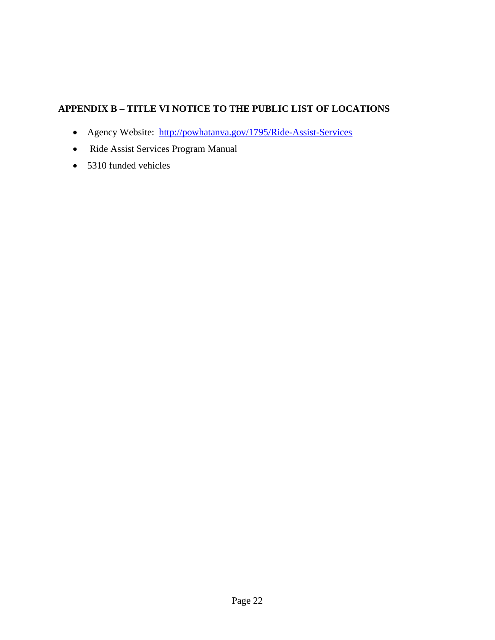## **APPENDIX B – TITLE VI NOTICE TO THE PUBLIC LIST OF LOCATIONS**

- Agency Website: <http://powhatanva.gov/1795/Ride-Assist-Services>
- Ride Assist Services Program Manual
- 5310 funded vehicles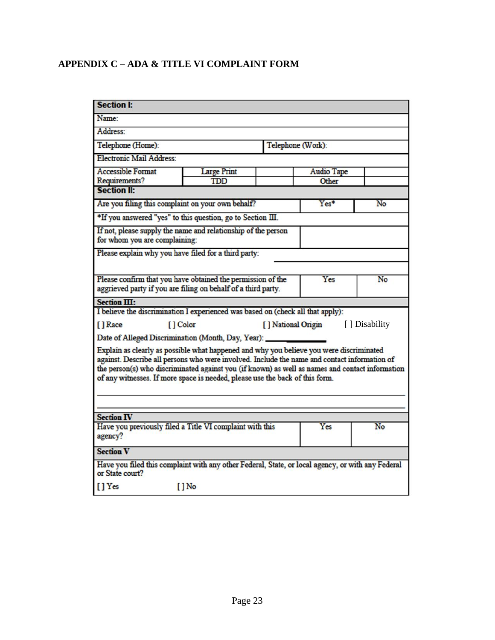## <span id="page-23-0"></span>**APPENDIX C – ADA & TITLE VI COMPLAINT FORM**

| <b>Section I:</b>                                                                                                                                                                                                                                                                                                                                                          |                                                  |  |                   |    |  |  |  |
|----------------------------------------------------------------------------------------------------------------------------------------------------------------------------------------------------------------------------------------------------------------------------------------------------------------------------------------------------------------------------|--------------------------------------------------|--|-------------------|----|--|--|--|
| Name:                                                                                                                                                                                                                                                                                                                                                                      |                                                  |  |                   |    |  |  |  |
| Address:                                                                                                                                                                                                                                                                                                                                                                   |                                                  |  |                   |    |  |  |  |
| Telephone (Home):                                                                                                                                                                                                                                                                                                                                                          |                                                  |  | Telephone (Work): |    |  |  |  |
| <b>Electronic Mail Address:</b>                                                                                                                                                                                                                                                                                                                                            |                                                  |  |                   |    |  |  |  |
| <b>Accessible Format</b>                                                                                                                                                                                                                                                                                                                                                   | <b>Large Print</b>                               |  | <b>Audio Tape</b> |    |  |  |  |
| Requirements?                                                                                                                                                                                                                                                                                                                                                              | <b>TDD</b>                                       |  | Other             |    |  |  |  |
| <b>Section II:</b>                                                                                                                                                                                                                                                                                                                                                         |                                                  |  |                   |    |  |  |  |
| Are you filing this complaint on your own behalf?                                                                                                                                                                                                                                                                                                                          |                                                  |  | Yes*              | No |  |  |  |
| *If you answered "yes" to this question, go to Section III.                                                                                                                                                                                                                                                                                                                |                                                  |  |                   |    |  |  |  |
| If not, please supply the name and relationship of the person<br>for whom you are complaining:                                                                                                                                                                                                                                                                             |                                                  |  |                   |    |  |  |  |
| Please explain why you have filed for a third party:                                                                                                                                                                                                                                                                                                                       |                                                  |  |                   |    |  |  |  |
|                                                                                                                                                                                                                                                                                                                                                                            |                                                  |  |                   |    |  |  |  |
| Please confirm that you have obtained the permission of the                                                                                                                                                                                                                                                                                                                |                                                  |  | Yes               | No |  |  |  |
| aggrieved party if you are filing on behalf of a third party.                                                                                                                                                                                                                                                                                                              |                                                  |  |                   |    |  |  |  |
| Section III:                                                                                                                                                                                                                                                                                                                                                               |                                                  |  |                   |    |  |  |  |
| I believe the discrimination I experienced was based on (check all that apply):                                                                                                                                                                                                                                                                                            |                                                  |  |                   |    |  |  |  |
| [] Race                                                                                                                                                                                                                                                                                                                                                                    | [] Color<br>[ ] National Origin<br>[] Disability |  |                   |    |  |  |  |
| Date of Alleged Discrimination (Month, Day, Year): _                                                                                                                                                                                                                                                                                                                       |                                                  |  |                   |    |  |  |  |
| Explain as clearly as possible what happened and why you believe you were discriminated<br>against. Describe all persons who were involved. Include the name and contact information of<br>the person(s) who discriminated against you (if known) as well as names and contact information<br>of any witnesses. If more space is needed, please use the back of this form. |                                                  |  |                   |    |  |  |  |
| <b>Section IV</b>                                                                                                                                                                                                                                                                                                                                                          |                                                  |  |                   |    |  |  |  |
|                                                                                                                                                                                                                                                                                                                                                                            |                                                  |  | Yes               | No |  |  |  |
| Have you previously filed a Title VI complaint with this<br>agency?                                                                                                                                                                                                                                                                                                        |                                                  |  |                   |    |  |  |  |
| <b>Section V</b>                                                                                                                                                                                                                                                                                                                                                           |                                                  |  |                   |    |  |  |  |
| Have you filed this complaint with any other Federal, State, or local agency, or with any Federal<br>or State court?                                                                                                                                                                                                                                                       |                                                  |  |                   |    |  |  |  |
| [] Yes                                                                                                                                                                                                                                                                                                                                                                     | $[]$ No                                          |  |                   |    |  |  |  |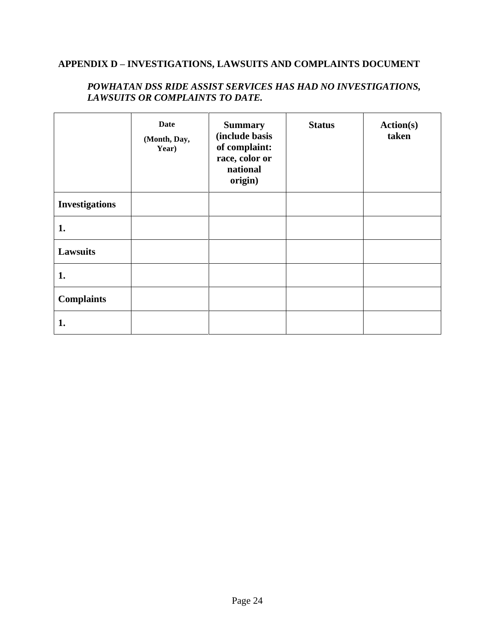## <span id="page-24-0"></span>**APPENDIX D – INVESTIGATIONS, LAWSUITS AND COMPLAINTS DOCUMENT**

|                       | <b>Date</b><br>(Month, Day,<br>Year) | <b>Summary</b><br>(include basis<br>of complaint:<br>race, color or<br>national<br>origin) | <b>Status</b> | Action(s)<br>taken |
|-----------------------|--------------------------------------|--------------------------------------------------------------------------------------------|---------------|--------------------|
| <b>Investigations</b> |                                      |                                                                                            |               |                    |
| 1.                    |                                      |                                                                                            |               |                    |
| <b>Lawsuits</b>       |                                      |                                                                                            |               |                    |
| 1.                    |                                      |                                                                                            |               |                    |
| <b>Complaints</b>     |                                      |                                                                                            |               |                    |
| 1.                    |                                      |                                                                                            |               |                    |

#### *POWHATAN DSS RIDE ASSIST SERVICES HAS HAD NO INVESTIGATIONS, LAWSUITS OR COMPLAINTS TO DATE.*